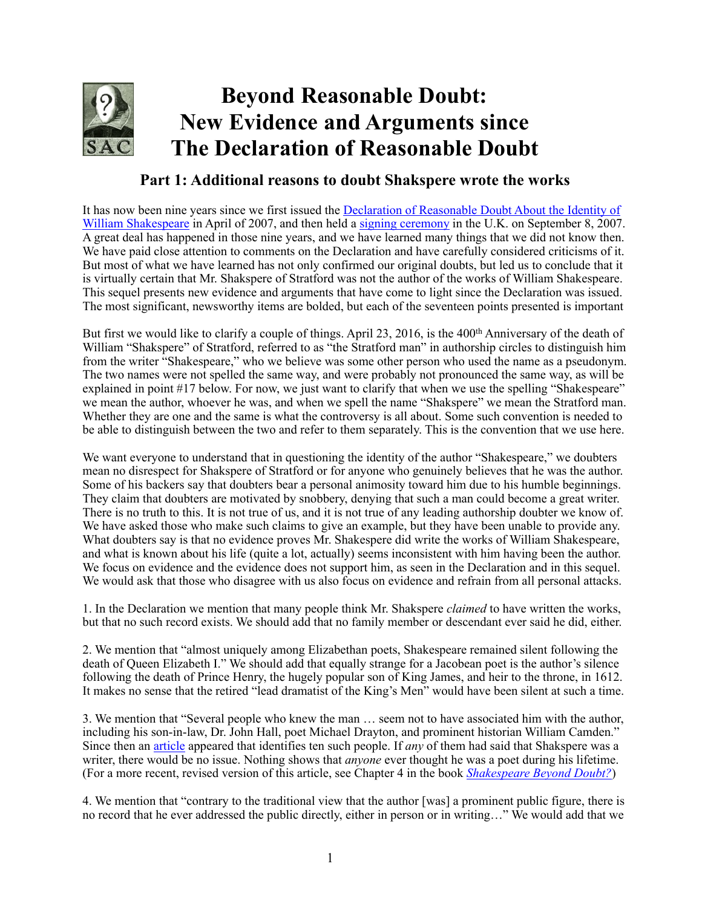

## **Beyond Reasonable Doubt: New Evidence and Arguments since The Declaration of Reasonable Doubt**

## **Part 1: Additional reasons to doubt Shakspere wrote the works**

[It has now been nine years since we first issued the Declaration of Reasonable Doubt About the Identity of](https://doubtaboutwill.org/declaration)  William Shakespeare in April of 2007, and then held a [signing ceremony](http://news.bbc.co.uk/2/hi/entertainment/6985917.stm) in the U.K. on September 8, 2007. A great deal has happened in those nine years, and we have learned many things that we did not know then. We have paid close attention to comments on the Declaration and have carefully considered criticisms of it. But most of what we have learned has not only confirmed our original doubts, but led us to conclude that it is virtually certain that Mr. Shakspere of Stratford was not the author of the works of William Shakespeare. This sequel presents new evidence and arguments that have come to light since the Declaration was issued. The most significant, newsworthy items are bolded, but each of the seventeen points presented is important

But first we would like to clarify a couple of things. April 23, 2016, is the 400<sup>th</sup> Anniversary of the death of William "Shakspere" of Stratford, referred to as "the Stratford man" in authorship circles to distinguish him from the writer "Shakespeare," who we believe was some other person who used the name as a pseudonym. The two names were not spelled the same way, and were probably not pronounced the same way, as will be explained in point #17 below. For now, we just want to clarify that when we use the spelling "Shakespeare" we mean the author, whoever he was, and when we spell the name "Shakspere" we mean the Stratford man. Whether they are one and the same is what the controversy is all about. Some such convention is needed to be able to distinguish between the two and refer to them separately. This is the convention that we use here.

We want everyone to understand that in questioning the identity of the author "Shakespeare," we doubters mean no disrespect for Shakspere of Stratford or for anyone who genuinely believes that he was the author. Some of his backers say that doubters bear a personal animosity toward him due to his humble beginnings. They claim that doubters are motivated by snobbery, denying that such a man could become a great writer. There is no truth to this. It is not true of us, and it is not true of any leading authorship doubter we know of. We have asked those who make such claims to give an example, but they have been unable to provide any. What doubters say is that no evidence proves Mr. Shakespere did write the works of William Shakespeare, and what is known about his life (quite a lot, actually) seems inconsistent with him having been the author. We focus on evidence and the evidence does not support him, as seen in the Declaration and in this sequel. We would ask that those who disagree with us also focus on evidence and refrain from all personal attacks.

1. In the Declaration we mention that many people think Mr. Shakspere *claimed* to have written the works, but that no such record exists. We should add that no family member or descendant ever said he did, either.

2. We mention that "almost uniquely among Elizabethan poets, Shakespeare remained silent following the death of Queen Elizabeth I." We should add that equally strange for a Jacobean poet is the author's silence following the death of Prince Henry, the hugely popular son of King James, and heir to the throne, in 1612. It makes no sense that the retired "lead dramatist of the King's Men" would have been silent at such a time.

3. We mention that "Several people who knew the man … seem not to have associated him with the author, including his son-in-law, Dr. John Hall, poet Michael Drayton, and prominent historian William Camden." Since then an [article](http://shakespeareoxfordfellowship.org/ten-eyewitnesses/) appeared that identifies ten such people. If *any* of them had said that Shakspere was a writer, there would be no issue. Nothing shows that *anyone* ever thought he was a poet during his lifetime. (For a more recent, revised version of this article, see Chapter 4 in the book *[Shakespeare Beyond Doubt?](https://doubtaboutwill.org/beyond_doubt)*)

4. We mention that "contrary to the traditional view that the author [was] a prominent public figure, there is no record that he ever addressed the public directly, either in person or in writing…" We would add that we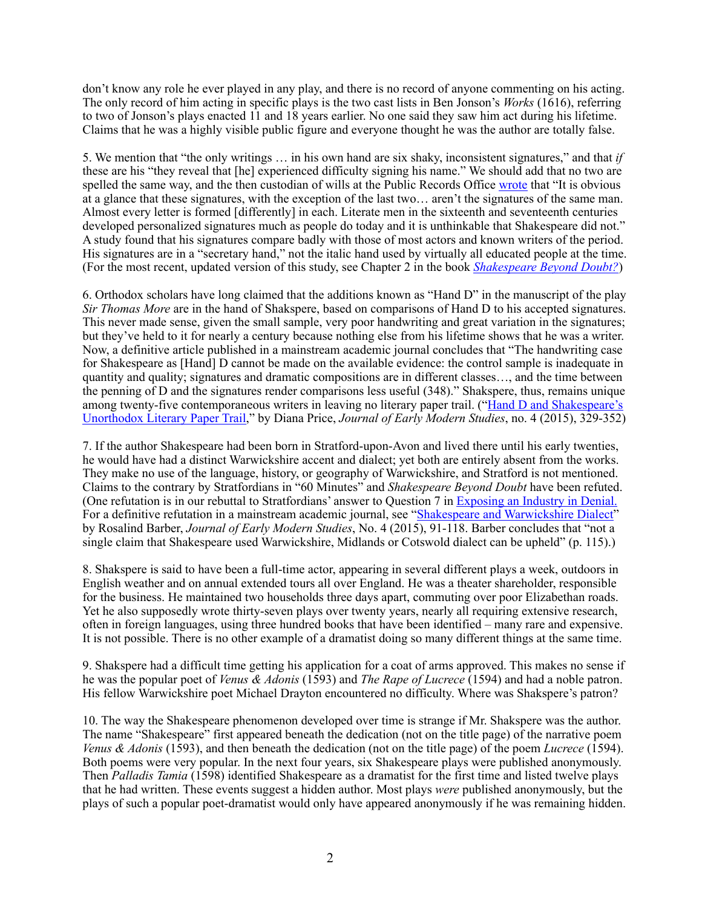don't know any role he ever played in any play, and there is no record of anyone commenting on his acting. The only record of him acting in specific plays is the two cast lists in Ben Jonson's *Works* (1616), referring to two of Jonson's plays enacted 11 and 18 years earlier. No one said they saw him act during his lifetime. Claims that he was a highly visible public figure and everyone thought he was the author are totally false.

5. We mention that "the only writings … in his own hand are six shaky, inconsistent signatures," and that *if*  these are his "they reveal that [he] experienced difficulty signing his name." We should add that no two are spelled the same way, and the then custodian of wills at the Public Records Office [wrote](https://books.google.com/books/about/Shakespeare_in_the_Public_Records.html?id=BksgAQAAIAAJ) that "It is obvious at a glance that these signatures, with the exception of the last two… aren't the signatures of the same man. Almost every letter is formed [differently] in each. Literate men in the sixteenth and seventeenth centuries developed personalized signatures much as people do today and it is unthinkable that Shakespeare did not." A study found that his signatures compare badly with those of most actors and known writers of the period. His signatures are in a "secretary hand," not the italic hand used by virtually all educated people at the time. (For the most recent, updated version of this study, see Chapter 2 in the book *[Shakespeare Beyond Doubt?](https://doubtaboutwill.org/beyond_doubt)*)

6. Orthodox scholars have long claimed that the additions known as "Hand D" in the manuscript of the play *Sir Thomas More* are in the hand of Shakspere, based on comparisons of Hand D to his accepted signatures. This never made sense, given the small sample, very poor handwriting and great variation in the signatures; but they've held to it for nearly a century because nothing else from his lifetime shows that he was a writer. Now, a definitive article published in a mainstream academic journal concludes that "The handwriting case for Shakespeare as [Hand] D cannot be made on the available evidence: the control sample is inadequate in quantity and quality; signatures and dramatic compositions are in different classes…, and the time between the penning of D and the signatures render comparisons less useful (348)." Shakspere, thus, remains unique [among twenty-five contemporaneous writers in leaving no literary paper trail. \("Hand D and Shakespeare's](http://www.fupress.net/index.php/bsfm-jems/article/view/18095/16849)  Unorthodox Literary Paper Trail," by Diana Price, *Journal of Early Modern Studies*, no. 4 (2015), 329-352)

7. If the author Shakespeare had been born in Stratford-upon-Avon and lived there until his early twenties, he would have had a distinct Warwickshire accent and dialect; yet both are entirely absent from the works. They make no use of the language, history, or geography of Warwickshire, and Stratford is not mentioned. Claims to the contrary by Stratfordians in "60 Minutes" and *Shakespeare Beyond Doubt* have been refuted. (One refutation is in our rebuttal to Stratfordians' answer to Question 7 in [Exposing an Industry in Denial.](https://doubtaboutwill.org/pdfs/sbt_rebuttal.pdf) For a definitive refutation in a mainstream academic journal, see "[Shakespeare and Warwickshire Dialect](http://www.fupress.net/index.php/bsfm-jems/article/view/18084)" by Rosalind Barber, *Journal of Early Modern Studies*, No. 4 (2015), 91-118. Barber concludes that "not a single claim that Shakespeare used Warwickshire, Midlands or Cotswold dialect can be upheld" (p. 115).)

8. Shakspere is said to have been a full-time actor, appearing in several different plays a week, outdoors in English weather and on annual extended tours all over England. He was a theater shareholder, responsible for the business. He maintained two households three days apart, commuting over poor Elizabethan roads. Yet he also supposedly wrote thirty-seven plays over twenty years, nearly all requiring extensive research, often in foreign languages, using three hundred books that have been identified – many rare and expensive. It is not possible. There is no other example of a dramatist doing so many different things at the same time.

9. Shakspere had a difficult time getting his application for a coat of arms approved. This makes no sense if he was the popular poet of *Venus & Adonis* (1593) and *The Rape of Lucrece* (1594) and had a noble patron. His fellow Warwickshire poet Michael Drayton encountered no difficulty. Where was Shakspere's patron?

10. The way the Shakespeare phenomenon developed over time is strange if Mr. Shakspere was the author. The name "Shakespeare" first appeared beneath the dedication (not on the title page) of the narrative poem *Venus & Adonis* (1593), and then beneath the dedication (not on the title page) of the poem *Lucrece* (1594). Both poems were very popular. In the next four years, six Shakespeare plays were published anonymously. Then *Palladis Tamia* (1598) identified Shakespeare as a dramatist for the first time and listed twelve plays that he had written. These events suggest a hidden author. Most plays *were* published anonymously, but the plays of such a popular poet-dramatist would only have appeared anonymously if he was remaining hidden.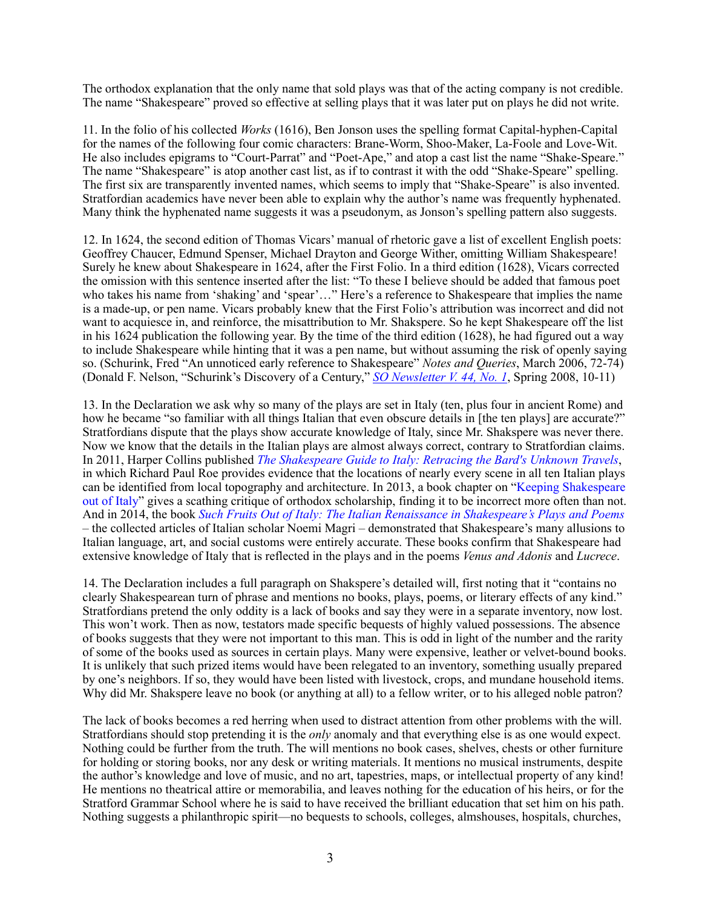The orthodox explanation that the only name that sold plays was that of the acting company is not credible. The name "Shakespeare" proved so effective at selling plays that it was later put on plays he did not write.

11. In the folio of his collected *Works* (1616), Ben Jonson uses the spelling format Capital-hyphen-Capital for the names of the following four comic characters: Brane-Worm, Shoo-Maker, La-Foole and Love-Wit. He also includes epigrams to "Court-Parrat" and "Poet-Ape," and atop a cast list the name "Shake-Speare." The name "Shakespeare" is atop another cast list, as if to contrast it with the odd "Shake-Speare" spelling. The first six are transparently invented names, which seems to imply that "Shake-Speare" is also invented. Stratfordian academics have never been able to explain why the author's name was frequently hyphenated. Many think the hyphenated name suggests it was a pseudonym, as Jonson's spelling pattern also suggests.

12. In 1624, the second edition of Thomas Vicars' manual of rhetoric gave a list of excellent English poets: Geoffrey Chaucer, Edmund Spenser, Michael Drayton and George Wither, omitting William Shakespeare! Surely he knew about Shakespeare in 1624, after the First Folio. In a third edition (1628), Vicars corrected the omission with this sentence inserted after the list: "To these I believe should be added that famous poet who takes his name from 'shaking' and 'spear'…" Here's a reference to Shakespeare that implies the name is a made-up, or pen name. Vicars probably knew that the First Folio's attribution was incorrect and did not want to acquiesce in, and reinforce, the misattribution to Mr. Shakspere. So he kept Shakespeare off the list in his 1624 publication the following year. By the time of the third edition (1628), he had figured out a way to include Shakespeare while hinting that it was a pen name, but without assuming the risk of openly saying so. (Schurink, Fred "An unnoticed early reference to Shakespeare" *Notes and Queries*, March 2006, 72-74) (Donald F. Nelson, "Schurink's Discovery of a Century," *[SO Newsletter V. 44, No. 1](http://shakespeareoxfordfellowship.org/wp-content/uploads/2014/03/SOSNL_2008_2.pdf)*, Spring 2008, 10-11)

13. In the Declaration we ask why so many of the plays are set in Italy (ten, plus four in ancient Rome) and how he became "so familiar with all things Italian that even obscure details in [the ten plays] are accurate?" Stratfordians dispute that the plays show accurate knowledge of Italy, since Mr. Shakspere was never there. Now we know that the details in the Italian plays are almost always correct, contrary to Stratfordian claims. In 2011, Harper Collins published *[The Shakespeare Guide to Italy: Retracing the Bard's Unknown Travels](http://www.harpercollins.com/9780062074263/the-shakespeare-guide-to-italy)*, in which Richard Paul Roe provides evidence that the locations of nearly every scene in all ten Italian plays [can be identified from local topography and architecture. In 2013, a book chapter on "Keeping Shakespeare](https://doubtaboutwill.org/beyond_doubt)  out of Italy" gives a scathing critique of orthodox scholarship, finding it to be incorrect more often than not. And in 2014, the book *[Such Fruits Out of Italy: The Italian Renaissance in Shakespeare's Plays and Poems](http://www.amazon.com/Such-Fruits-Italy-Noemi-Magri/dp/3933077370/ref=sr_1_1?s=books&ie=UTF8&qid=1435243020&sr=1-1&keywords=such+fruits+out+of+italy)* – the collected articles of Italian scholar Noemi Magri – demonstrated that Shakespeare's many allusions to Italian language, art, and social customs were entirely accurate. These books confirm that Shakespeare had extensive knowledge of Italy that is reflected in the plays and in the poems *Venus and Adonis* and *Lucrece*.

14. The Declaration includes a full paragraph on Shakspere's detailed will, first noting that it "contains no clearly Shakespearean turn of phrase and mentions no books, plays, poems, or literary effects of any kind." Stratfordians pretend the only oddity is a lack of books and say they were in a separate inventory, now lost. This won't work. Then as now, testators made specific bequests of highly valued possessions. The absence of books suggests that they were not important to this man. This is odd in light of the number and the rarity of some of the books used as sources in certain plays. Many were expensive, leather or velvet-bound books. It is unlikely that such prized items would have been relegated to an inventory, something usually prepared by one's neighbors. If so, they would have been listed with livestock, crops, and mundane household items. Why did Mr. Shakspere leave no book (or anything at all) to a fellow writer, or to his alleged noble patron?

The lack of books becomes a red herring when used to distract attention from other problems with the will. Stratfordians should stop pretending it is the *only* anomaly and that everything else is as one would expect. Nothing could be further from the truth. The will mentions no book cases, shelves, chests or other furniture for holding or storing books, nor any desk or writing materials. It mentions no musical instruments, despite the author's knowledge and love of music, and no art, tapestries, maps, or intellectual property of any kind! He mentions no theatrical attire or memorabilia, and leaves nothing for the education of his heirs, or for the Stratford Grammar School where he is said to have received the brilliant education that set him on his path. Nothing suggests a philanthropic spirit—no bequests to schools, colleges, almshouses, hospitals, churches,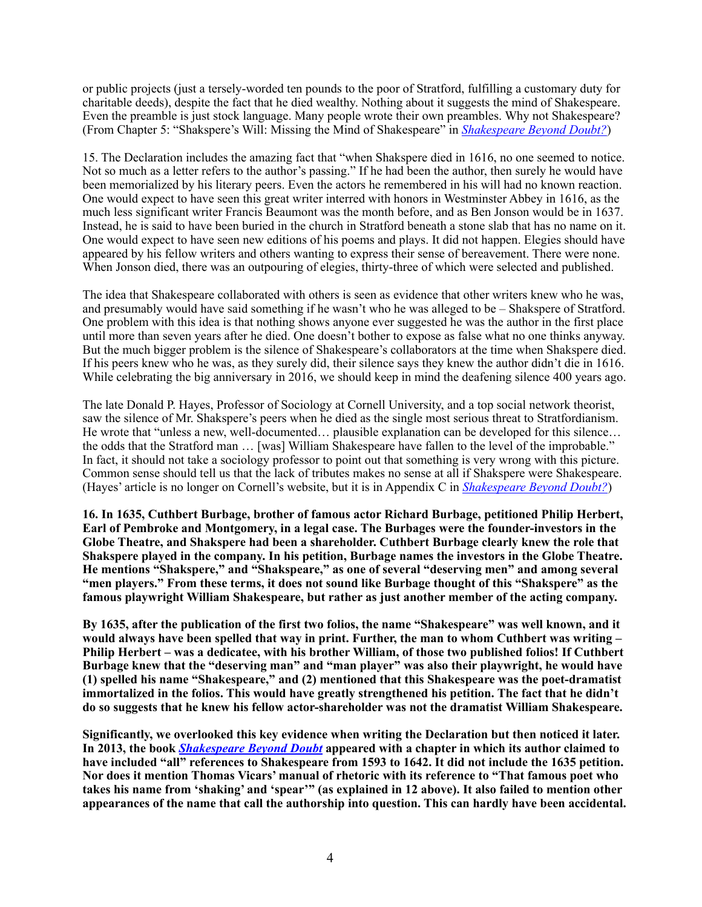or public projects (just a tersely-worded ten pounds to the poor of Stratford, fulfilling a customary duty for charitable deeds), despite the fact that he died wealthy. Nothing about it suggests the mind of Shakespeare. Even the preamble is just stock language. Many people wrote their own preambles. Why not Shakespeare? (From Chapter 5: "Shakspere's Will: Missing the Mind of Shakespeare" in *[Shakespeare Beyond Doubt?](https://doubtaboutwill.org/beyond_doubt)*)

15. The Declaration includes the amazing fact that "when Shakspere died in 1616, no one seemed to notice. Not so much as a letter refers to the author's passing." If he had been the author, then surely he would have been memorialized by his literary peers. Even the actors he remembered in his will had no known reaction. One would expect to have seen this great writer interred with honors in Westminster Abbey in 1616, as the much less significant writer Francis Beaumont was the month before, and as Ben Jonson would be in 1637. Instead, he is said to have been buried in the church in Stratford beneath a stone slab that has no name on it. One would expect to have seen new editions of his poems and plays. It did not happen. Elegies should have appeared by his fellow writers and others wanting to express their sense of bereavement. There were none. When Jonson died, there was an outpouring of elegies, thirty-three of which were selected and published.

The idea that Shakespeare collaborated with others is seen as evidence that other writers knew who he was, and presumably would have said something if he wasn't who he was alleged to be – Shakspere of Stratford. One problem with this idea is that nothing shows anyone ever suggested he was the author in the first place until more than seven years after he died. One doesn't bother to expose as false what no one thinks anyway. But the much bigger problem is the silence of Shakespeare's collaborators at the time when Shakspere died. If his peers knew who he was, as they surely did, their silence says they knew the author didn't die in 1616. While celebrating the big anniversary in 2016, we should keep in mind the deafening silence 400 years ago.

The late Donald P. Hayes, Professor of Sociology at Cornell University, and a top social network theorist, saw the silence of Mr. Shakspere's peers when he died as the single most serious threat to Stratfordianism. He wrote that "unless a new, well-documented… plausible explanation can be developed for this silence… the odds that the Stratford man … [was] William Shakespeare have fallen to the level of the improbable." In fact, it should not take a sociology professor to point out that something is very wrong with this picture. Common sense should tell us that the lack of tributes makes no sense at all if Shakspere were Shakespeare. (Hayes' article is no longer on Cornell's website, but it is in Appendix C in *[Shakespeare Beyond Doubt?](https://doubtaboutwill.org/beyond_doubt)*)

**16. In 1635, Cuthbert Burbage, brother of famous actor Richard Burbage, petitioned Philip Herbert, Earl of Pembroke and Montgomery, in a legal case. The Burbages were the founder-investors in the Globe Theatre, and Shakspere had been a shareholder. Cuthbert Burbage clearly knew the role that Shakspere played in the company. In his petition, Burbage names the investors in the Globe Theatre. He mentions "Shakspere," and "Shakspeare," as one of several "deserving men" and among several "men players." From these terms, it does not sound like Burbage thought of this "Shakspere" as the famous playwright William Shakespeare, but rather as just another member of the acting company.** 

**By 1635, after the publication of the first two folios, the name "Shakespeare" was well known, and it would always have been spelled that way in print. Further, the man to whom Cuthbert was writing – Philip Herbert – was a dedicatee, with his brother William, of those two published folios! If Cuthbert Burbage knew that the "deserving man" and "man player" was also their playwright, he would have (1) spelled his name "Shakespeare," and (2) mentioned that this Shakespeare was the poet-dramatist immortalized in the folios. This would have greatly strengthened his petition. The fact that he didn't do so suggests that he knew his fellow actor-shareholder was not the dramatist William Shakespeare.** 

**Significantly, we overlooked this key evidence when writing the Declaration but then noticed it later. In 2013, the book** *[Shakespeare Beyond Doubt](http://www.cambridge.org/us/knowledge/isbn/item7099141/?site_locale=en_US)* **appeared with a chapter in which its author claimed to have included "all" references to Shakespeare from 1593 to 1642. It did not include the 1635 petition. Nor does it mention Thomas Vicars' manual of rhetoric with its reference to "That famous poet who takes his name from 'shaking' and 'spear'" (as explained in 12 above). It also failed to mention other appearances of the name that call the authorship into question. This can hardly have been accidental.**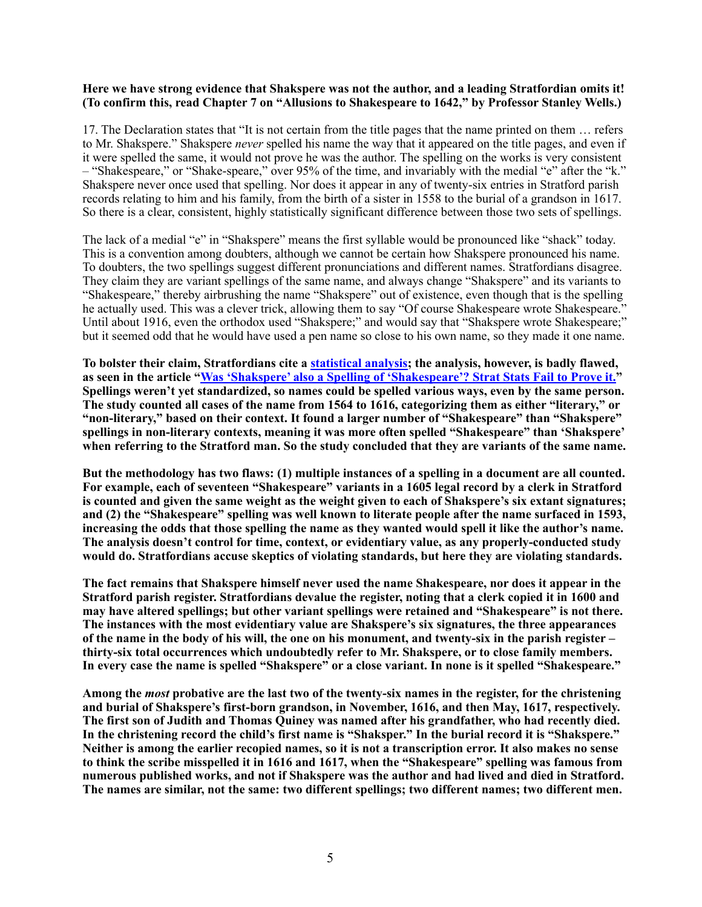## **Here we have strong evidence that Shakspere was not the author, and a leading Stratfordian omits it! (To confirm this, read Chapter 7 on "Allusions to Shakespeare to 1642," by Professor Stanley Wells.)**

17. The Declaration states that "It is not certain from the title pages that the name printed on them … refers to Mr. Shakspere." Shakspere *never* spelled his name the way that it appeared on the title pages, and even if it were spelled the same, it would not prove he was the author. The spelling on the works is very consistent – "Shakespeare," or "Shake-speare," over 95% of the time, and invariably with the medial "e" after the "k." Shakspere never once used that spelling. Nor does it appear in any of twenty-six entries in Stratford parish records relating to him and his family, from the birth of a sister in 1558 to the burial of a grandson in 1617. So there is a clear, consistent, highly statistically significant difference between those two sets of spellings.

The lack of a medial "e" in "Shakspere" means the first syllable would be pronounced like "shack" today. This is a convention among doubters, although we cannot be certain how Shakspere pronounced his name. To doubters, the two spellings suggest different pronunciations and different names. Stratfordians disagree. They claim they are variant spellings of the same name, and always change "Shakspere" and its variants to "Shakespeare," thereby airbrushing the name "Shakspere" out of existence, even though that is the spelling he actually used. This was a clever trick, allowing them to say "Of course Shakespeare wrote Shakespeare." Until about 1916, even the orthodox used "Shakspere;" and would say that "Shakspere wrote Shakespeare;" but it seemed odd that he would have used a pen name so close to his own name, so they made it one name.

**To bolster their claim, Stratfordians cite a [statistical analysis;](http://www.shakespeareauthorship.com/name1.html) the analysis, however, is badly flawed, as seen in the article "[Was 'Shakspere' also a Spelling of 'Shakespeare'? Strat Stats Fail to Prove it.](http://shakespeareoxfordfellowship.org/briefchronicles/)" Spellings weren't yet standardized, so names could be spelled various ways, even by the same person. The study counted all cases of the name from 1564 to 1616, categorizing them as either "literary," or "non-literary," based on their context. It found a larger number of "Shakespeare" than "Shakspere" spellings in non-literary contexts, meaning it was more often spelled "Shakespeare" than 'Shakspere' when referring to the Stratford man. So the study concluded that they are variants of the same name.** 

**But the methodology has two flaws: (1) multiple instances of a spelling in a document are all counted. For example, each of seventeen "Shakespeare" variants in a 1605 legal record by a clerk in Stratford is counted and given the same weight as the weight given to each of Shakspere's six extant signatures; and (2) the "Shakespeare" spelling was well known to literate people after the name surfaced in 1593, increasing the odds that those spelling the name as they wanted would spell it like the author's name. The analysis doesn't control for time, context, or evidentiary value, as any properly-conducted study would do. Stratfordians accuse skeptics of violating standards, but here they are violating standards.**

**The fact remains that Shakspere himself never used the name Shakespeare, nor does it appear in the Stratford parish register. Stratfordians devalue the register, noting that a clerk copied it in 1600 and may have altered spellings; but other variant spellings were retained and "Shakespeare" is not there. The instances with the most evidentiary value are Shakspere's six signatures, the three appearances of the name in the body of his will, the one on his monument, and twenty-six in the parish register – thirty-six total occurrences which undoubtedly refer to Mr. Shakspere, or to close family members. In every case the name is spelled "Shakspere" or a close variant. In none is it spelled "Shakespeare."** 

**Among the** *most* **probative are the last two of the twenty-six names in the register, for the christening and burial of Shakspere's first-born grandson, in November, 1616, and then May, 1617, respectively. The first son of Judith and Thomas Quiney was named after his grandfather, who had recently died. In the christening record the child's first name is "Shaksper." In the burial record it is "Shakspere." Neither is among the earlier recopied names, so it is not a transcription error. It also makes no sense to think the scribe misspelled it in 1616 and 1617, when the "Shakespeare" spelling was famous from numerous published works, and not if Shakspere was the author and had lived and died in Stratford. The names are similar, not the same: two different spellings; two different names; two different men.**